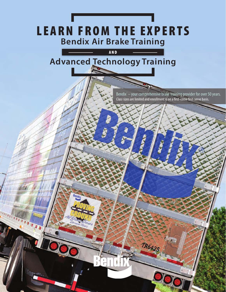# **Bendix Air Brake Training**

### AND **Advanced Technology Training**

Bendix – your comprehensive brake training provider for over 50 years. Class sizes are limited and enrollment is on a first-come first-serve basis.

TR6425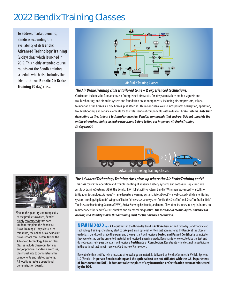## 2022 Bendix Training Classes

To address market demand, Bendix is expanding the availability of its **Bendix Advanced Technology Training** (2-day) class which launched in 2019. This highly attended course rounds out the Bendix training schedule which also includes the tried-and-true **Bendix Air Brake Training** (3-day) class.



#### **The Air Brake Training class is tailored to new & experienced technicians.**

Curriculum includes the fundamentals of compressed air; tactics for air system failure mode diagnosis and troubleshooting; and air brake system and foundation brake components, including air compressors, valves, foundation drum brakes, air disc brakes, plus steering. This all-inclusive course incorporates description, operation, troubleshooting, and service elements for the total range of components within dual air brake systems. **Note that depending on the student's technical knowledge, Bendix recommends that each participant complete the online air brake training on brake-school.com before taking our in-person Air Brake Training (3-day class)\*.**





of the products covered, Bendix highly recommends that each student complete the Bendix Air Brake Training (3-day) class, or at minimum, the online brake school at brake-school.com, before taking the Advanced Technology Training class. Classes include classroom lectures and/or practical hands-on exercises, plus visual aids to demonstrate the components and related systems. All locations feature operational demonstration boards.

#### **The Advanced Technology Training class picks up where the Air Brake Training ends\*.**

This class covers the operation and troubleshooting of advanced safety systems and software. Topics include Antilock Braking Systems (ABS), the Bendix® ESP® full stability system, Bendix® Wingman® Advanced™—a Collision Mitigation technology, AutoVue® — lane departure warning system, SafetyDirect® — a web-based vehicle monitoring system, our flagship Bendix® Wingman® Fusion™ driver assistance system family, the SmarTire® and SmarTire Trailer-Link™ Tire Pressure Monitoring Systems (TPMS), Active Steering by Bendix, and more. Class time includes in-depth, hands-on maintenance for Bendix® air disc brakes and electrical diagnostics. **The increase in technological advances in braking and stability makes this a training must for the advanced technician.** \* Due to the quantity and complexity

> NEW IN 2022... All registrants in the three-day Bendix Air Brake Training and two-day Bendix Advanced Technology Training school may elect to take part in an optional written test administered by Bendix at the close of each class. Bendix will grade the exam, and the registrant will receive a Tested and Passed Certificate to indicate they were tested on the presented material and received a passing grade. Registrants who elect to take the test and do not successfully pass the exam will receive a **Certifi cate of Completion**. Registrants who elect not to participate in the optional testing will receive a Certificate of Completion.

> Receipt of either certificate is a measure of knowledge on materials delivered by Bendix Commercial Vehicle Systems LLC (Bendix). **In-person Bendix training and the optional test are not affi liated with the U.S. Department**  of Transportation (DOT). It does not take the place of any instruction or Certification exam administered **by the DOT.**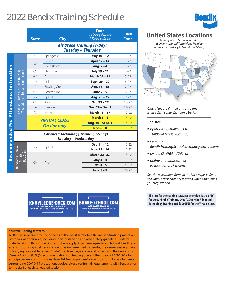## 2022 Bendix Training Schedule

|                            |                                                                     | <b>State</b> | <b>City</b>          | <b>Date</b><br><b>All Training Classes are</b><br>8:00 a.m. to 4:00 p.m. | <b>Class</b><br><b>Code</b> |  |  |  |  |
|----------------------------|---------------------------------------------------------------------|--------------|----------------------|--------------------------------------------------------------------------|-----------------------------|--|--|--|--|
|                            | <b>Air Brake Training (3-Day)</b><br><b>Tuesday - Thursday</b>      |              |                      |                                                                          |                             |  |  |  |  |
|                            |                                                                     | <b>AR</b>    | Springdale           | May 10 - 12                                                              | $1 - 22$                    |  |  |  |  |
|                            | Bendix® Online Air Brake Trainin<br>(Available on brake-school.com) | CA           | Fresno               | April 12 - 14                                                            | $2 - 22$                    |  |  |  |  |
|                            |                                                                     |              | Long Beach           | Aug. $2 - 4$                                                             | $3 - 22$                    |  |  |  |  |
|                            |                                                                     | CO           | Thornton             | July 19 - 21                                                             | $4 - 22$                    |  |  |  |  |
| Pre-Attendance Instruction |                                                                     | GA           | Atlanta              | <b>March 29 - 31</b>                                                     | $5 - 22$                    |  |  |  |  |
|                            |                                                                     | IL:          | Lisle                | Sept. 20 - 22                                                            | $6 - 22$                    |  |  |  |  |
|                            |                                                                     | KY           | <b>Bowling Green</b> | Aug. 16 - 18                                                             | $7 - 22$                    |  |  |  |  |
|                            |                                                                     | <b>MN</b>    | Rosemount            | June 7 - 9                                                               | $8 - 22$                    |  |  |  |  |
|                            |                                                                     | <b>NV</b>    | Sparks               | Aug. 23 - 25                                                             | $9 - 22$                    |  |  |  |  |
|                            |                                                                     | OH           | Avon                 | $Oct. 25 - 27$                                                           | $10 - 22$                   |  |  |  |  |
|                            |                                                                     | PA           | Hanover              | Nov. 29 - Dec. 1                                                         | $11 - 22$                   |  |  |  |  |
|                            |                                                                     | <b>TX</b>    | Irving               | <b>March 15 - 17</b>                                                     | $12 - 22$                   |  |  |  |  |
|                            |                                                                     |              | <b>VIRTUAL CLASS</b> | March $1 - 3$                                                            | $13 - 22$                   |  |  |  |  |
|                            |                                                                     |              |                      | Aug. 30 - Sept. 1                                                        | $14 - 22$                   |  |  |  |  |
|                            |                                                                     |              | <b>On-line only</b>  | Dec. $6 - 8$                                                             | $15 - 22$                   |  |  |  |  |
| Recommended                | <b>Advanced Technology Training (2-Day)</b><br>Tuesday - Wednesday  |              |                      |                                                                          |                             |  |  |  |  |
|                            | Bendix <sup>®</sup> Air Brake<br>Training<br>(3-Day Class)<br>lrai  | <b>NV</b>    | Sparks               | Oct. 11 - 12                                                             | $16 - 22$                   |  |  |  |  |
|                            |                                                                     |              |                      | Nov. 15 - 16                                                             | $17 - 22$                   |  |  |  |  |
|                            |                                                                     | OH           |                      | <b>March 22-23</b>                                                       | $18 - 22$                   |  |  |  |  |
|                            |                                                                     |              |                      | May $3 - 4$                                                              | 19-22                       |  |  |  |  |
|                            |                                                                     |              | Avon                 | Oct. $4 - 5$                                                             | $20 - 22$                   |  |  |  |  |
|                            |                                                                     |              |                      | Nov. $8 - 9$                                                             | $21 - 22$                   |  |  |  |  |

**KNOWLEDGE-DOCK.COM** 

BLOGS, PODCASTS, AND MORE<br>INDUSTRY INSIGHTS FROM INDUSTRY EXPERTS

**BRAKE-SCHOOL.COM** LOG ON AND LEARN FROM THE BEST

#### **Your Well-being Matters.**

All Bendix in-person training adheres to the latest safety, health, and sanitization protection protocols, as applicable, including social distancing and other safety guidelines. Federal, State, local, and Bendix-specific restrictions apply. Attendees agree to abide by all health and safety protocols, guidelines or procedures implemented by Bendix, the venue hosting Brake School, any applicable Federal/State/local laws, regulations and orders, and the Centers for Disease Control (CDC)'s recommendations for helping prevent the spread of COVID-19 found at: https://www.cdc.gov/coronavirus/2019-ncov/prepare/prevention.html. As requirements surrounding COVID-19 precautions evolve, please confirm all requirements with Bendix prior to the start of each scheduled session.



## **United States Locations**

Training offered in shaded states. (Bendix Advanced Technology Training is offered exclusively in Nevada and Ohio.)



Class sizes are limited and enrollment is on a first-come, first-serve basis.

#### Register:

- by phone 1-800-AIR-BRAKE, (1-800-247-2725, option 3);
- **by email,**

BendixTrainingSchool@hkm.dcgcentral.com;

- by fax, (216) 651-3261; or
- online at bendix.com or foundationbrakes.com.

See the registration form on the back page. Refer to the unique class code per location when completing your registration.

**The cost for the training class, per attendee, is \$450 (US) for the Air Brake Training, \$400 (US) for the Advanced Technology Training and \$300 (US) for the Virtual Class.**